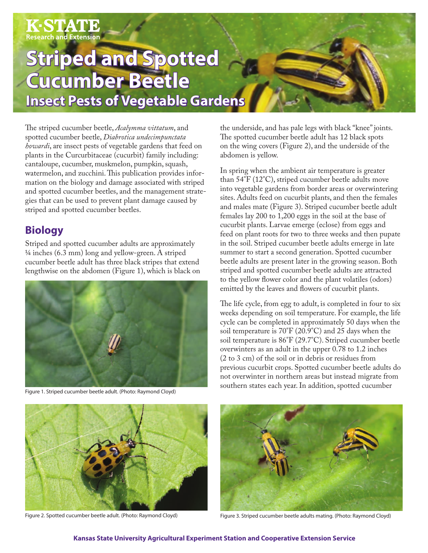# $\mathbf{K}\text{-}\mathbf{STATE}\ \mathbf{R}$ Research and Extension

## **Striped and Spotted Cucumber Beetle Insect Pests of Vegetable Gardens**

The striped cucumber beetle, *Acalymma vittatum*, and spotted cucumber beetle, *Diabrotica undecimpunctata howardi*, are insect pests of vegetable gardens that feed on plants in the Curcurbitaceae (cucurbit) family including: cantaloupe, cucumber, muskmelon, pumpkin, squash, watermelon, and zucchini. This publication provides information on the biology and damage associated with striped and spotted cucumber beetles, and the management strategies that can be used to prevent plant damage caused by striped and spotted cucumber beetles.

### **Biology**

Striped and spotted cucumber adults are approximately 1/4 inches (6.3 mm) long and yellow-green. A striped cucumber beetle adult has three black stripes that extend lengthwise on the abdomen (Figure 1), which is black on



Figure 1. Striped cucumber beetle adult. (Photo: Raymond Cloyd)

the underside, and has pale legs with black "knee" joints. The spotted cucumber beetle adult has 12 black spots on the wing covers (Figure 2), and the underside of the abdomen is yellow.

In spring when the ambient air temperature is greater than 54°F (12°C), striped cucumber beetle adults move into vegetable gardens from border areas or overwintering sites. Adults feed on cucurbit plants, and then the females and males mate (Figure 3). Striped cucumber beetle adult females lay 200 to 1,200 eggs in the soil at the base of cucurbit plants. Larvae emerge (eclose) from eggs and feed on plant roots for two to three weeks and then pupate in the soil. Striped cucumber beetle adults emerge in late summer to start a second generation. Spotted cucumber beetle adults are present later in the growing season. Both striped and spotted cucumber beetle adults are attracted to the yellow flower color and the plant volatiles (odors) emitted by the leaves and flowers of cucurbit plants.

The life cycle, from egg to adult, is completed in four to six weeks depending on soil temperature. For example, the life cycle can be completed in approximately 50 days when the soil temperature is 70°F (20.9°C) and 25 days when the soil temperature is 86°F (29.7°C). Striped cucumber beetle overwinters as an adult in the upper 0.78 to 1.2 inches (2 to 3 cm) of the soil or in debris or residues from previous cucurbit crops. Spotted cucumber beetle adults do not overwinter in northern areas but instead migrate from southern states each year. In addition, spotted cucumber



Figure 2. Spotted cucumber beetle adult. (Photo: Raymond Cloyd)



Figure 3. Striped cucumber beetle adults mating. (Photo: Raymond Cloyd)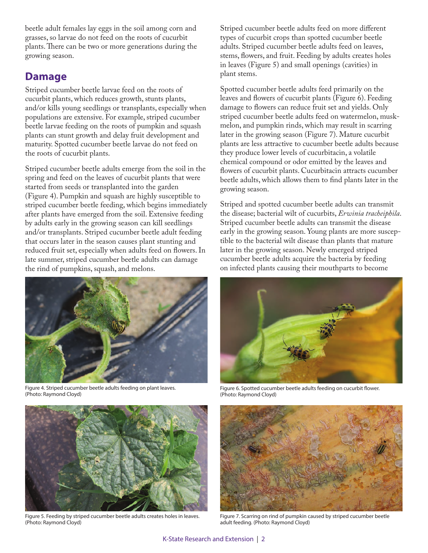beetle adult females lay eggs in the soil among corn and grasses, so larvae do not feed on the roots of cucurbit plants. There can be two or more generations during the growing season.

#### **Damage**

Striped cucumber beetle larvae feed on the roots of cucurbit plants, which reduces growth, stunts plants, and/or kills young seedlings or transplants, especially when populations are extensive. For example, striped cucumber beetle larvae feeding on the roots of pumpkin and squash plants can stunt growth and delay fruit development and maturity. Spotted cucumber beetle larvae do not feed on the roots of cucurbit plants.

Striped cucumber beetle adults emerge from the soil in the spring and feed on the leaves of cucurbit plants that were started from seeds or transplanted into the garden (Figure 4). Pumpkin and squash are highly susceptible to striped cucumber beetle feeding, which begins immediately after plants have emerged from the soil. Extensive feeding by adults early in the growing season can kill seedlings and/or transplants. Striped cucumber beetle adult feeding that occurs later in the season causes plant stunting and reduced fruit set, especially when adults feed on flowers. In late summer, striped cucumber beetle adults can damage the rind of pumpkins, squash, and melons.



Figure 4. Striped cucumber beetle adults feeding on plant leaves. (Photo: Raymond Cloyd)



Figure 5. Feeding by striped cucumber beetle adults creates holes in leaves. (Photo: Raymond Cloyd)

Striped cucumber beetle adults feed on more different types of cucurbit crops than spotted cucumber beetle adults. Striped cucumber beetle adults feed on leaves, stems, flowers, and fruit. Feeding by adults creates holes in leaves (Figure 5) and small openings (cavities) in plant stems.

Spotted cucumber beetle adults feed primarily on the leaves and flowers of cucurbit plants (Figure 6). Feeding damage to flowers can reduce fruit set and yields. Only striped cucumber beetle adults feed on watermelon, muskmelon, and pumpkin rinds, which may result in scarring later in the growing season (Figure 7). Mature cucurbit plants are less attractive to cucumber beetle adults because they produce lower levels of cucurbitacin, a volatile chemical compound or odor emitted by the leaves and flowers of cucurbit plants. Cucurbitacin attracts cucumber beetle adults, which allows them to find plants later in the growing season.

Striped and spotted cucumber beetle adults can transmit the disease; bacterial wilt of cucurbits, *Erwinia tracheiphila*. Striped cucumber beetle adults can transmit the disease early in the growing season. Young plants are more susceptible to the bacterial wilt disease than plants that mature later in the growing season. Newly emerged striped cucumber beetle adults acquire the bacteria by feeding on infected plants causing their mouthparts to become



Figure 6. Spotted cucumber beetle adults feeding on cucurbit flower. (Photo: Raymond Cloyd)



Figure 7. Scarring on rind of pumpkin caused by striped cucumber beetle adult feeding. (Photo: Raymond Cloyd)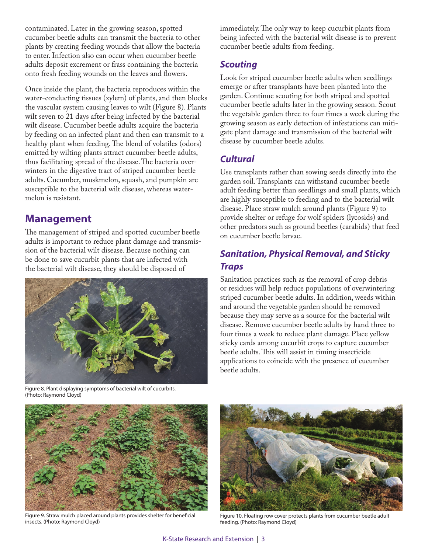contaminated. Later in the growing season, spotted cucumber beetle adults can transmit the bacteria to other plants by creating feeding wounds that allow the bacteria to enter. Infection also can occur when cucumber beetle adults deposit excrement or frass containing the bacteria onto fresh feeding wounds on the leaves and flowers.

Once inside the plant, the bacteria reproduces within the water-conducting tissues (xylem) of plants, and then blocks the vascular system causing leaves to wilt (Figure 8). Plants wilt seven to 21 days after being infected by the bacterial wilt disease. Cucumber beetle adults acquire the bacteria by feeding on an infected plant and then can transmit to a healthy plant when feeding. The blend of volatiles (odors) emitted by wilting plants attract cucumber beetle adults, thus facilitating spread of the disease. The bacteria overwinters in the digestive tract of striped cucumber beetle adults. Cucumber, muskmelon, squash, and pumpkin are susceptible to the bacterial wilt disease, whereas watermelon is resistant.

#### **Management**

The management of striped and spotted cucumber beetle adults is important to reduce plant damage and transmission of the bacterial wilt disease. Because nothing can be done to save cucurbit plants that are infected with the bacterial wilt disease, they should be disposed of



Figure 8. Plant displaying symptoms of bacterial wilt of cucurbits. (Photo: Raymond Cloyd)

immediately. The only way to keep cucurbit plants from being infected with the bacterial wilt disease is to prevent cucumber beetle adults from feeding.

#### *Scouting*

Look for striped cucumber beetle adults when seedlings emerge or after transplants have been planted into the garden. Continue scouting for both striped and spotted cucumber beetle adults later in the growing season. Scout the vegetable garden three to four times a week during the growing season as early detection of infestations can mitigate plant damage and transmission of the bacterial wilt disease by cucumber beetle adults.

#### *Cultural*

Use transplants rather than sowing seeds directly into the garden soil. Transplants can withstand cucumber beetle adult feeding better than seedlings and small plants, which are highly susceptible to feeding and to the bacterial wilt disease. Place straw mulch around plants (Figure 9) to provide shelter or refuge for wolf spiders (lycosids) and other predators such as ground beetles (carabids) that feed on cucumber beetle larvae.

#### *Sanitation, Physical Removal, and Sticky Traps*

Sanitation practices such as the removal of crop debris or residues will help reduce populations of overwintering striped cucumber beetle adults. In addition, weeds within and around the vegetable garden should be removed because they may serve as a source for the bacterial wilt disease. Remove cucumber beetle adults by hand three to four times a week to reduce plant damage. Place yellow sticky cards among cucurbit crops to capture cucumber beetle adults. This will assist in timing insecticide applications to coincide with the presence of cucumber beetle adults.



Figure 9. Straw mulch placed around plants provides shelter for beneficial insects. (Photo: Raymond Cloyd)



Figure 10. Floating row cover protects plants from cucumber beetle adult feeding. (Photo: Raymond Cloyd)